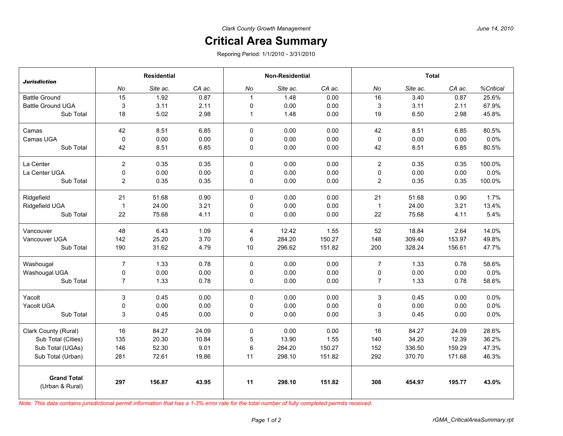## **Critical Area Summary**

Reporing Period: 1/1/2010 - 3/31/2010

| <b>Jurisdiction</b>                   | <b>Residential</b>      |          |        | <b>Non-Residential</b> |          |        | <b>Total</b>   |          |        |           |
|---------------------------------------|-------------------------|----------|--------|------------------------|----------|--------|----------------|----------|--------|-----------|
|                                       | No                      | Site ac. | CA ac. | No                     | Site ac. | CA ac. | No             | Site ac. | CA ac. | %Critical |
| <b>Battle Ground</b>                  | 15                      | 1.92     | 0.87   | $\overline{1}$         | 1.48     | 0.00   | 16             | 3.40     | 0.87   | 25.6%     |
| <b>Battle Ground UGA</b>              | 3                       | 3.11     | 2.11   | 0                      | 0.00     | 0.00   | 3              | 3.11     | 2.11   | 67.9%     |
| Sub Total                             | 18                      | 5.02     | 2.98   | $\mathbf{1}$           | 1.48     | 0.00   | 19             | 6.50     | 2.98   | 45.8%     |
| Camas                                 | 42                      | 8.51     | 6.85   | 0                      | 0.00     | 0.00   | 42             | 8.51     | 6.85   | 80.5%     |
| Camas UGA                             | 0                       | 0.00     | 0.00   | 0                      | 0.00     | 0.00   | 0              | 0.00     | 0.00   | 0.0%      |
| Sub Total                             | 42                      | 8.51     | 6.85   | 0                      | 0.00     | 0.00   | 42             | 8.51     | 6.85   | 80.5%     |
| La Center                             | $\overline{2}$          | 0.35     | 0.35   | 0                      | 0.00     | 0.00   | $\overline{2}$ | 0.35     | 0.35   | 100.0%    |
| La Center UGA                         | 0                       | 0.00     | 0.00   | $\mathbf 0$            | 0.00     | 0.00   | $\pmb{0}$      | 0.00     | 0.00   | 0.0%      |
| Sub Total                             | $\overline{\mathbf{c}}$ | 0.35     | 0.35   | 0                      | 0.00     | 0.00   | $\sqrt{2}$     | 0.35     | 0.35   | 100.0%    |
| Ridgefield                            | 21                      | 51.68    | 0.90   | $\Omega$               | 0.00     | 0.00   | 21             | 51.68    | 0.90   | 1.7%      |
| Ridgefield UGA                        | $\mathbf{1}$            | 24.00    | 3.21   | 0                      | 0.00     | 0.00   | $\mathbf{1}$   | 24.00    | 3.21   | 13.4%     |
| Sub Total                             | 22                      | 75.68    | 4.11   | 0                      | 0.00     | 0.00   | 22             | 75.68    | 4.11   | 5.4%      |
| Vancouver                             | 48                      | 6.43     | 1.09   | $\overline{4}$         | 12.42    | 1.55   | 52             | 18.84    | 2.64   | 14.0%     |
| Vancouver UGA                         | 142                     | 25.20    | 3.70   | 6                      | 284.20   | 150.27 | 148            | 309.40   | 153.97 | 49.8%     |
| Sub Total                             | 190                     | 31.62    | 4.79   | 10                     | 296.62   | 151.82 | 200            | 328.24   | 156.61 | 47.7%     |
| Washougal                             | $\overline{7}$          | 1.33     | 0.78   | 0                      | 0.00     | 0.00   | $\overline{7}$ | 1.33     | 0.78   | 58.6%     |
| Washougal UGA                         | 0                       | 0.00     | 0.00   | $\pmb{0}$              | 0.00     | 0.00   | $\pmb{0}$      | 0.00     | 0.00   | 0.0%      |
| Sub Total                             | 7                       | 1.33     | 0.78   | 0                      | 0.00     | 0.00   | $\overline{7}$ | 1.33     | 0.78   | 58.6%     |
| Yacolt                                | 3                       | 0.45     | 0.00   | 0                      | 0.00     | 0.00   | 3              | 0.45     | 0.00   | 0.0%      |
| Yacolt UGA                            | 0                       | 0.00     | 0.00   | 0                      | 0.00     | 0.00   | 0              | 0.00     | 0.00   | 0.0%      |
| Sub Total                             | 3                       | 0.45     | 0.00   | $\mathbf 0$            | 0.00     | 0.00   | 3              | 0.45     | 0.00   | 0.0%      |
| Clark County (Rural)                  | 16                      | 84.27    | 24.09  | 0                      | 0.00     | 0.00   | 16             | 84.27    | 24.09  | 28.6%     |
| Sub Total (Cities)                    | 135                     | 20.30    | 10.84  | 5                      | 13.90    | 1.55   | 140            | 34.20    | 12.39  | 36.2%     |
| Sub Total (UGAs)                      | 146                     | 52.30    | 9.01   | 6                      | 284.20   | 150.27 | 152            | 336.50   | 159.29 | 47.3%     |
| Sub Total (Urban)                     | 281                     | 72.61    | 19.86  | 11                     | 298.10   | 151.82 | 292            | 370.70   | 171.68 | 46.3%     |
| <b>Grand Total</b><br>(Urban & Rural) | 297                     | 156.87   | 43.95  | 11                     | 298.10   | 151.82 | 308            | 454.97   | 195.77 | 43.0%     |

*Note: This data contains jurisdictional permit information that has a 1-3% error rate for the total number of fully completed permits received.*